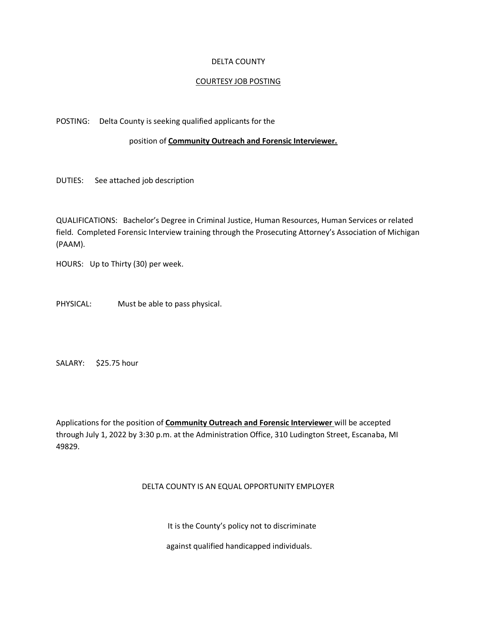#### DELTA COUNTY

#### COURTESY JOB POSTING

#### POSTING: Delta County is seeking qualified applicants for the

#### position of **Community Outreach and Forensic Interviewer.**

DUTIES: See attached job description

QUALIFICATIONS: Bachelor's Degree in Criminal Justice, Human Resources, Human Services or related field. Completed Forensic Interview training through the Prosecuting Attorney's Association of Michigan (PAAM).

HOURS: Up to Thirty (30) per week.

PHYSICAL: Must be able to pass physical.

SALARY: \$25.75 hour

Applications for the position of **Community Outreach and Forensic Interviewer** will be accepted through July 1, 2022 by 3:30 p.m. at the Administration Office, 310 Ludington Street, Escanaba, MI 49829.

### DELTA COUNTY IS AN EQUAL OPPORTUNITY EMPLOYER

It is the County's policy not to discriminate

against qualified handicapped individuals.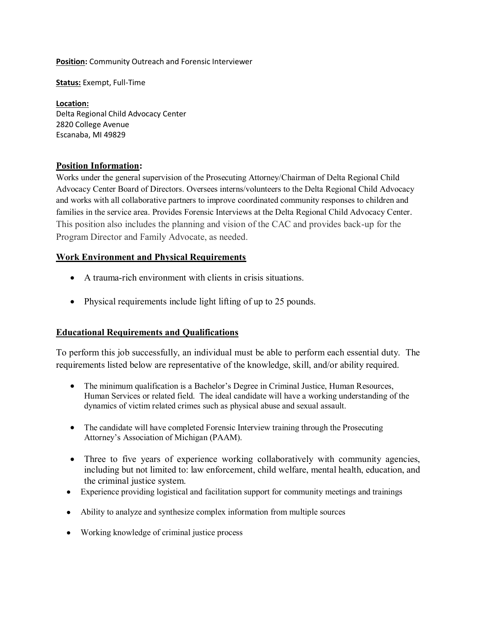**Position:** Community Outreach and Forensic Interviewer

**Status:** Exempt, Full-Time

**Location:** Delta Regional Child Advocacy Center 2820 College Avenue Escanaba, MI 49829

### **Position Information:**

Works under the general supervision of the Prosecuting Attorney/Chairman of Delta Regional Child Advocacy Center Board of Directors. Oversees interns/volunteers to the Delta Regional Child Advocacy and works with all collaborative partners to improve coordinated community responses to children and families in the service area. Provides Forensic Interviews at the Delta Regional Child Advocacy Center. This position also includes the planning and vision of the CAC and provides back-up for the Program Director and Family Advocate, as needed.

### **Work Environment and Physical Requirements**

- A trauma-rich environment with clients in crisis situations.
- Physical requirements include light lifting of up to 25 pounds.

## **Educational Requirements and Qualifications**

To perform this job successfully, an individual must be able to perform each essential duty. The requirements listed below are representative of the knowledge, skill, and/or ability required.

- The minimum qualification is a Bachelor's Degree in Criminal Justice, Human Resources, Human Services or related field. The ideal candidate will have a working understanding of the dynamics of victim related crimes such as physical abuse and sexual assault.
- The candidate will have completed Forensic Interview training through the Prosecuting Attorney's Association of Michigan (PAAM).
- Three to five years of experience working collaboratively with community agencies, including but not limited to: law enforcement, child welfare, mental health, education, and the criminal justice system.
- Experience providing logistical and facilitation support for community meetings and trainings
- Ability to analyze and synthesize complex information from multiple sources
- Working knowledge of criminal justice process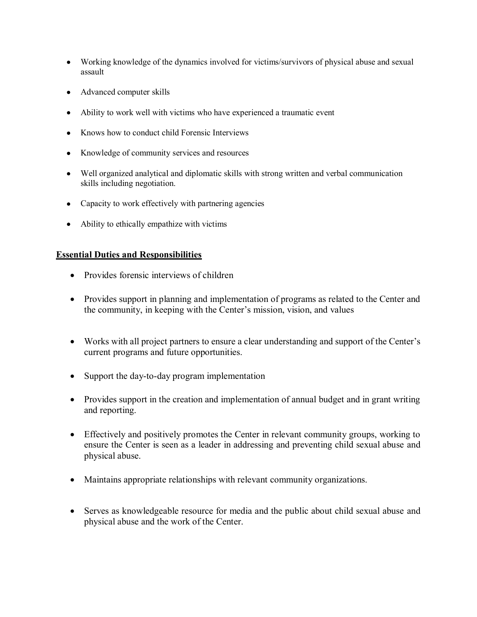- Working knowledge of the dynamics involved for victims/survivors of physical abuse and sexual assault
- Advanced computer skills
- Ability to work well with victims who have experienced a traumatic event
- Knows how to conduct child Forensic Interviews
- Knowledge of community services and resources
- Well organized analytical and diplomatic skills with strong written and verbal communication skills including negotiation.
- Capacity to work effectively with partnering agencies
- Ability to ethically empathize with victims

### **Essential Duties and Responsibilities**

- Provides forensic interviews of children
- Provides support in planning and implementation of programs as related to the Center and the community, in keeping with the Center's mission, vision, and values
- Works with all project partners to ensure a clear understanding and support of the Center's current programs and future opportunities.
- Support the day-to-day program implementation
- Provides support in the creation and implementation of annual budget and in grant writing and reporting.
- Effectively and positively promotes the Center in relevant community groups, working to ensure the Center is seen as a leader in addressing and preventing child sexual abuse and physical abuse.
- Maintains appropriate relationships with relevant community organizations.
- Serves as knowledgeable resource for media and the public about child sexual abuse and physical abuse and the work of the Center.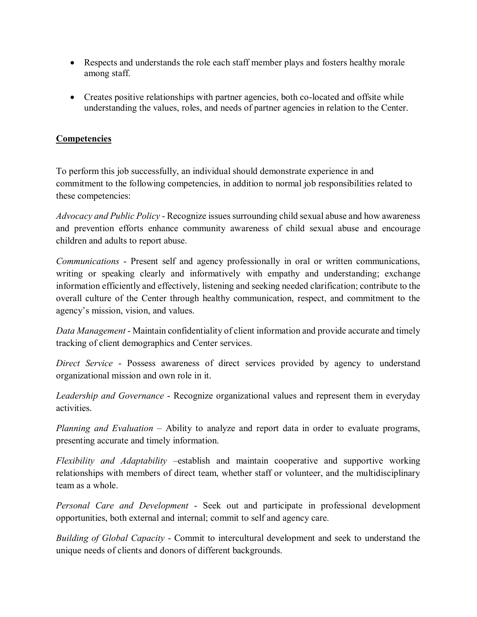- Respects and understands the role each staff member plays and fosters healthy morale among staff.
- Creates positive relationships with partner agencies, both co-located and offsite while understanding the values, roles, and needs of partner agencies in relation to the Center.

# **Competencies**

To perform this job successfully, an individual should demonstrate experience in and commitment to the following competencies, in addition to normal job responsibilities related to these competencies:

*Advocacy and Public Policy* - Recognize issues surrounding child sexual abuse and how awareness and prevention efforts enhance community awareness of child sexual abuse and encourage children and adults to report abuse.

*Communications* - Present self and agency professionally in oral or written communications, writing or speaking clearly and informatively with empathy and understanding; exchange information efficiently and effectively, listening and seeking needed clarification; contribute to the overall culture of the Center through healthy communication, respect, and commitment to the agency's mission, vision, and values.

*Data Management* - Maintain confidentiality of client information and provide accurate and timely tracking of client demographics and Center services.

*Direct Service* - Possess awareness of direct services provided by agency to understand organizational mission and own role in it.

*Leadership and Governance* - Recognize organizational values and represent them in everyday activities.

*Planning and Evaluation* – Ability to analyze and report data in order to evaluate programs, presenting accurate and timely information.

*Flexibility and Adaptability* –establish and maintain cooperative and supportive working relationships with members of direct team, whether staff or volunteer, and the multidisciplinary team as a whole.

*Personal Care and Development* - Seek out and participate in professional development opportunities, both external and internal; commit to self and agency care.

*Building of Global Capacity* - Commit to intercultural development and seek to understand the unique needs of clients and donors of different backgrounds.